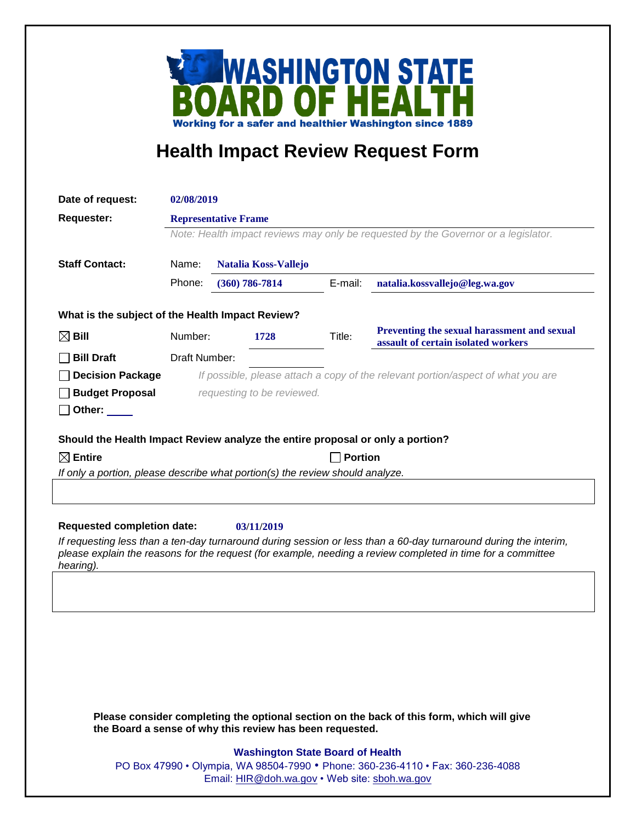

# **Health Impact Review Request Form**

| Date of request:                                                                                                                                                                                                                             | 02/08/2019                                                                         |                             |         |                                                                                    |
|----------------------------------------------------------------------------------------------------------------------------------------------------------------------------------------------------------------------------------------------|------------------------------------------------------------------------------------|-----------------------------|---------|------------------------------------------------------------------------------------|
| <b>Requester:</b>                                                                                                                                                                                                                            | <b>Representative Frame</b>                                                        |                             |         |                                                                                    |
|                                                                                                                                                                                                                                              | Note: Health impact reviews may only be requested by the Governor or a legislator. |                             |         |                                                                                    |
| <b>Staff Contact:</b>                                                                                                                                                                                                                        | Name:                                                                              | <b>Natalia Koss-Vallejo</b> |         |                                                                                    |
|                                                                                                                                                                                                                                              | Phone:                                                                             | $(360) 786 - 7814$          | E-mail: | natalia.kossvallejo@leg.wa.gov                                                     |
| What is the subject of the Health Impact Review?                                                                                                                                                                                             |                                                                                    |                             |         |                                                                                    |
| $\boxtimes$ Bill                                                                                                                                                                                                                             | Number:                                                                            | 1728                        | Title:  | Preventing the sexual harassment and sexual<br>assault of certain isolated workers |
| <b>Bill Draft</b>                                                                                                                                                                                                                            | Draft Number:                                                                      |                             |         |                                                                                    |
| <b>Decision Package</b>                                                                                                                                                                                                                      |                                                                                    |                             |         | If possible, please attach a copy of the relevant portion/aspect of what you are   |
| <b>Budget Proposal</b>                                                                                                                                                                                                                       |                                                                                    | requesting to be reviewed.  |         |                                                                                    |
| $\Box$ Other: $\_\_$                                                                                                                                                                                                                         |                                                                                    |                             |         |                                                                                    |
| Should the Health Impact Review analyze the entire proposal or only a portion?                                                                                                                                                               |                                                                                    |                             |         |                                                                                    |
| $\boxtimes$ Entire<br><b>Portion</b>                                                                                                                                                                                                         |                                                                                    |                             |         |                                                                                    |
|                                                                                                                                                                                                                                              | If only a portion, please describe what portion(s) the review should analyze.      |                             |         |                                                                                    |
|                                                                                                                                                                                                                                              |                                                                                    |                             |         |                                                                                    |
|                                                                                                                                                                                                                                              |                                                                                    |                             |         |                                                                                    |
| <b>Requested completion date:</b><br>03/11/2019                                                                                                                                                                                              |                                                                                    |                             |         |                                                                                    |
| If requesting less than a ten-day turnaround during session or less than a 60-day turnaround during the interim,<br>please explain the reasons for the request (for example, needing a review completed in time for a committee<br>hearing). |                                                                                    |                             |         |                                                                                    |
|                                                                                                                                                                                                                                              |                                                                                    |                             |         |                                                                                    |
|                                                                                                                                                                                                                                              |                                                                                    |                             |         |                                                                                    |
|                                                                                                                                                                                                                                              |                                                                                    |                             |         |                                                                                    |
|                                                                                                                                                                                                                                              |                                                                                    |                             |         |                                                                                    |
|                                                                                                                                                                                                                                              |                                                                                    |                             |         |                                                                                    |
|                                                                                                                                                                                                                                              |                                                                                    |                             |         |                                                                                    |
|                                                                                                                                                                                                                                              |                                                                                    |                             |         |                                                                                    |

**Please consider completing the optional section on the back of this form, which will give the Board a sense of why this review has been requested.**

#### **Washington State Board of Health**

PO Box 47990 • Olympia, WA 98504-7990 • Phone: 360-236-4110 • Fax: 360-236-4088 Email: [HIR@doh.wa.gov](mailto:HIR@doh.wa.gov) • Web site: [sboh.wa.gov](http://www.sboh.wa.gov/hdcouncil/)